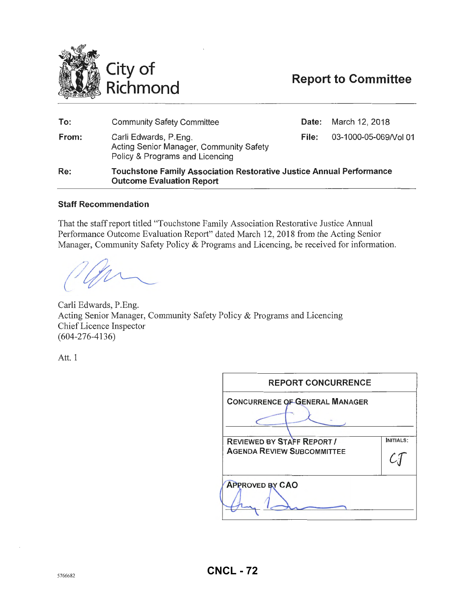

## **Report to Committee**

| To:   | <b>Community Safety Committee</b>                                                                               |       | <b>Date:</b> March 12, 2018 |
|-------|-----------------------------------------------------------------------------------------------------------------|-------|-----------------------------|
| From: | Carli Edwards, P.Eng.<br>Acting Senior Manager, Community Safety<br>Policy & Programs and Licencing             | File: | 03-1000-05-069/Vol 01       |
| Re:   | <b>Touchstone Family Association Restorative Justice Annual Performance</b><br><b>Outcome Evaluation Report</b> |       |                             |

#### **Staff Recommendation**

That the staff report titled "Touchstone Family Association Restorative Justice Annual Performance Outcome Evaluation Report" dated March 12,2018 from the Acting Senior Manager, Community Safety Policy & Programs and Licencing, be received for information.

Carli Edwards, P.Eng. Acting Senior Manager, Community Safety Policy & Programs and Licencing Chief Licence Inspector (604-276-4136)

Att. 1

| <b>REPORT CONCURRENCE</b>                                              |           |
|------------------------------------------------------------------------|-----------|
| <b>CONCURRENCE OF GENERAL MANAGER</b>                                  |           |
| <b>REVIEWED BY STAFF REPORT !</b><br><b>AGENDA REVIEW SUBCOMMITTEE</b> | INITIALS: |
| <b>APPROVED BY CAO</b>                                                 |           |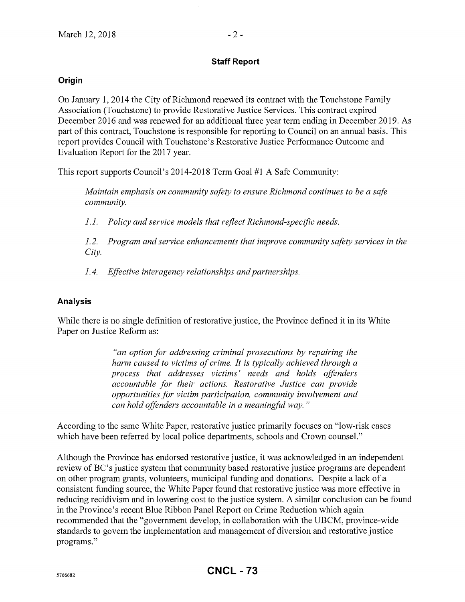#### **Staff Report**

#### **Origin**

On January 1, 2014 the City of Richmond renewed its contract with the Touchstone Family Association (Touchstone) to provide Restorative Justice Services. This contract expired December 2016 and was renewed for an additional three year term ending in December 2019. As part of this contract, Touchstone is responsible for reporting to Council on an annual basis. This report provides Council with Touchstone's Restorative Justice Performance Outcome and Evaluation Report for the 2017 year.

This report supports Council's 2014-2018 Term Goal #1 A Safe Community:

*Maintain emphasis on community safety to ensure Richmond continues to be a safe community.* 

*1.1. Policy and service models that reflect Richmond-specific needs.* 

*1. 2. Program and service enhancements that improve community safety services in the City.* 

*1. 4. Effective interagency relationships and partnerships.* 

#### **Analysis**

While there is no single definition of restorative justice, the Province defined it in its White Paper on Justice Reform as:

> *"an option for addressing criminal prosecutions by repairing the harm caused to victims of crime. It is typically achieved through a process that addresses victims' needs and holds offenders accountable for their actions. Restorative Justice can provide opportunities for victim participation, community involvement and can hold offenders accountable in a meaning/it! way.* "

According to the same White Paper, restorative justice primarily focuses on "low-risk cases which have been referred by local police departments, schools and Crown counsel."

Although the Province has endorsed restorative justice, it was acknowledged in an independent review of BC's justice system that community based restorative justice programs are dependent on other program grants, volunteers, municipal funding and donations. Despite a lack of a consistent funding source, the White Paper found that restorative justice was more effective in reducing recidivism and in lowering cost to the justice system. A similar conclusion can be found in the Province's recent Blue Ribbon Panel Report on Crime Reduction which again recommended that the "government develop, in collaboration with the UBCM, province-wide standards to govern the implementation and management of diversion and restorative justice programs."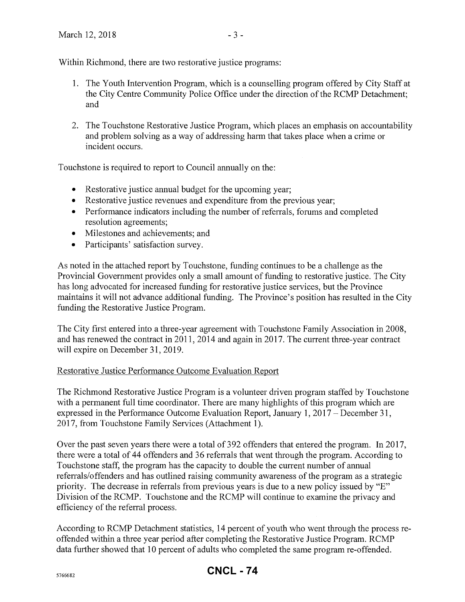Within Richmond, there are two restorative justice programs:

- 1. The Youth Intervention Program, which is a counselling program offered by City Staff at the City Centre Community Police Office under the direction of the RCMP Detachment; and
- 2. The Touchstone Restorative Justice Program, which places an emphasis on accountability and problem solving as a way of addressing harm that takes place when a crime or incident occurs.

Touchstone is required to report to Council annually on the:

- Restorative justice annual budget for the upcoming year;
- Restorative justice revenues and expenditure from the previous year;
- Performance indicators including the number of referrals, forums and completed resolution agreements;
- Milestones and achievements; and
- Participants' satisfaction survey.

As noted in the attached report by Touchstone, funding continues to be a challenge as the Provincial Government provides only a small amount of funding to restorative justice. The City has long advocated for increased funding for restorative justice services, but the Province maintains it will not advance additional funding. The Province's position has resulted in the City funding the Restorative Justice Program.

The City first entered into a three-year agreement with Touchstone Family Association in 2008, and has renewed the contract in 2011, 2014 and again in 2017. The current three-year contract will expire on December 31, 2019.

#### Restorative Justice Performance Outcome Evaluation Report

The Richmond Restorative Justice Program is a volunteer driven program staffed by Touchstone with a permanent full time coordinator. There are many highlights of this program which are expressed in the Performance Outcome Evaluation Report, January 1, 2017 – December 31, 2017, from Touchstone Family Services (Attachment 1).

Over the past seven years there were a total of 392 offenders that entered the program. In 2017, there were a total of 44 offenders and 36 refenals that went through the program. According to Touchstone staff, the program has the capacity to double the current number of annual referrals/offenders and has outlined raising community awareness of the program as a strategic priority. The decrease in refenals from previous years is due to a new policy issued by "E" Division of the RCMP. Touchstone and the RCMP will continue to examine the privacy and efficiency of the refenal process.

According to RCMP Detachment statistics, 14 percent of youth who went through the process reoffended within a three year period after completing the Restorative Justice Program. RCMP data further showed that 10 percent of adults who completed the same program re-offended.

### **CNCL - 74**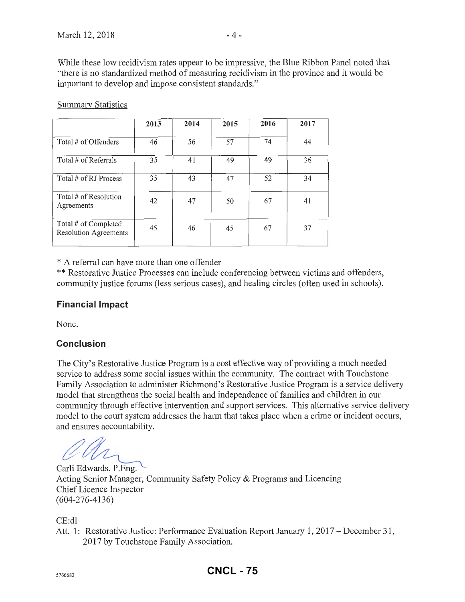|                                                      | 2013 | 2014 | 2015 | 2016 | 2017 |
|------------------------------------------------------|------|------|------|------|------|
| Total # of Offenders                                 | 46   | 56   | 57   | 74   | 44   |
| Total # of Referrals                                 | 35   | 41   | 49   | 49   | 36   |
| Total # of RJ Process                                | 35   | 43   | 47   | 52   | 34   |
| Total # of Resolution<br>Agreements                  | 42   | 47   | 50   | 67   | 41   |
| Total # of Completed<br><b>Resolution Agreements</b> | 45   | 46   | 45   | 67   | 37   |

Summary Statistics

\* A referral can have more than one offender

\*\* Restorative Justice Processes can include conferencing between victims and offenders, community justice forums (less serious cases), and healing circles (often used in schools).

#### **Financial Impact**

None.

### **Conclusion**

The City's Restorative Justice Program is a cost effective way of providing a much needed service to address some social issues within the community. The contract with Touchstone Family Association to administer Richmond's Restorative Justice Program is a service delivery model that strengthens the social health and independence of families and children in our community through effective intervention and support services. This altemative service delivery model to the court system addresses the harm that takes place when a crime or incident occurs, and ensures accountability.

Acting Senior Manager, Community Safety Policy & Programs and Licencing<br>Acting Senior Manager, Community Safety Policy & Programs and Licencing Chief Licence Inspector (604-276-4136)

CE:dl

Att. 1: Restorative Justice: Performance Evaluation Report January 1, 2017- December 31, 2017 by Touchstone Family Association.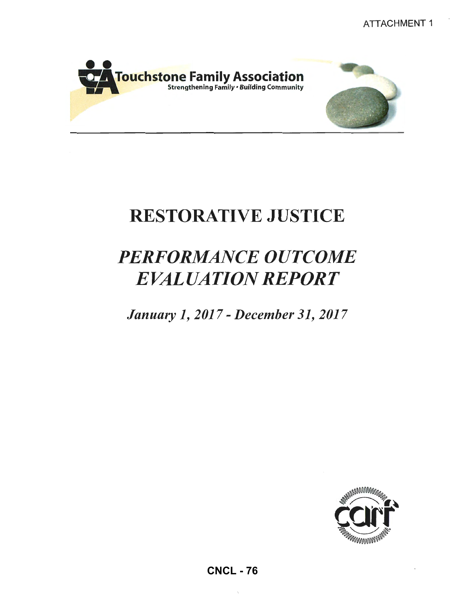

# RESTORATIVE JUSTICE

# *PERFORMANCE OUTCOME EVALUATION REPORT*

*January 1, 2017- December 31, 20)7* 

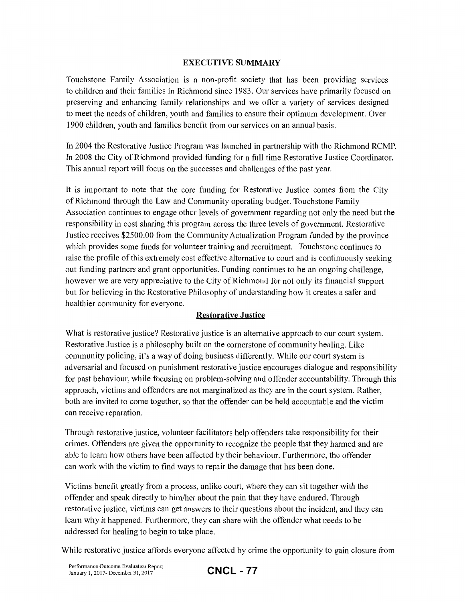#### **EXECUTIVE SUMMARY**

Touchstone Family Association is a non-profit society that has been providing services to children and their families in Richmond since 1983. Our services have primarily focused on preserving and enhancing family relationships and we offer a variety of services designed to meet the needs of children, youth and families to ensure their optimum development. Over 1900 children, youth and families benefit from our services on an annual basis.

In 2004 the Restorative Justice Program was launched in partnership with the Richmond RCMP. In 2008 the City of Richmond provided funding for a full time Restorative Justice Coordinator. This annual report will focus on the successes and challenges of the past year.

It is important to note that the core funding for Restorative Justice comes from the City ofRichmond through the Law and Community operating budget. Touchstone Family Association continues to engage other levels of government regarding not only the need but the responsibility in cost sharing this program across the three levels of government. Restorative Justice receives \$2500.00 from the Community Actualization Program funded by the province which provides some funds for volunteer training and recruitment. Touchstone continues to raise the profile of this extremely cost effective alternative to court and is continuously seeking out funding partners and grant opportunities. Funding continues to be an ongoing challenge, however we are very appreciative to the City of Richmond for not only its financial support but for believing in the Restorative Philosophy of understanding how it creates a safer and healthier community for everyone.

#### **Restoratiye Justice**

What is restorative justice? Restorative justice is an alternative approach to our court system. Restorative Justice is a philosophy built on the cornerstone of community healing. Like community policing, it's a way of doing business differently. While our court system is adversarial and focused on punishment restorative justice encourages dialogue and responsibility for past behaviour, while focusing on problem-solving and offender accountability. Through this approach, victims and offenders are not marginalized as they are in the court system. Rather, both are invited to come together, so that the offender can be held accountable and the victim can receive reparation.

Through restorative justice, volunteer facilitators help offenders take responsibility for their crimes. Offenders are given the opportunity to recognize the people that they harmed and are able to learn how others have been affected by their behaviour. Furthermore, the offender can work with the victim to find ways to repair the damage that has been done.

Victims benefit greatly from a process, unlike court, where they can sit together with the offender and speak directly to him/her about the pain that they have endured. Through restorative justice, victims can get answers to their questions about the incident, and they can learn why it happened. Furthermore, they can share with the offender what needs to be addressed for healing to begin to take place.

While restorative justice affords everyone affected by crime the opportunity to gain closure from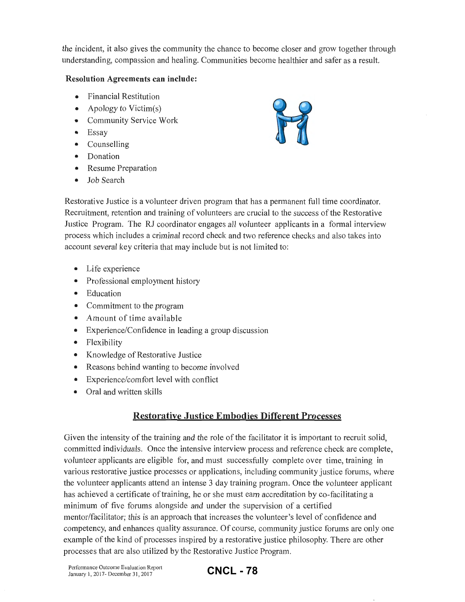the incident, it also gives the community the chance to become closer and grow together through understanding, compassion and healing. Communities become healthier and safer as a result.

#### **Resolution Agreements can include:**

- Financial Restitution
- Apology to Victim(s)
- Community Service Work
- Essay
- Counselling
- Donation
- Resume Preparation
- Job Search



Restorative Justice is a volunteer driven program that has a permanent full time coordinator. Recruitment, retention and training of volunteers are crucial to the success of the Restorative Justice Program. The RJ coordinator engages all volunteer applicants in a formal interview process which includes a criminal record check and two reference checks and also takes into account several key criteria that may include but is not limited to:

- Life experience
- Professional employment history
- Education
- Commitment to the program
- Amount of time available
- Experience/Confidence in leading a group discussion
- Flexibility
- Knowledge of Restorative Justice
- Reasons behind wanting to become involved
- Experience/comfort level with conflict
- Oral and written skills

### **Restorative Justice Embodies Different Processes**

Given the intensity of the training and the role of the facilitator it is important to recruit solid, committed individuals. Once the intensive interview process and reference check are complete, volunteer applicants are eligible for, and must successfully complete over time, training in various restorative justice processes or applications, including community justice forums, where the volunteer applicants attend an intense 3 day training program. Once the volunteer applicant has achieved a certificate of training, he or she must earn accreditation by co-facilitating a minimum of five forums alongside and under the supervision of a certified mentor/facilitator; this is an approach that increases the volunteer's level of confidence and competency, and enhances quality assurance. Of course, community justice forums are only one example of the kind of processes inspired by a restorative justice philosophy. There are other processes that are also utilized by the Restorative Justice Program.

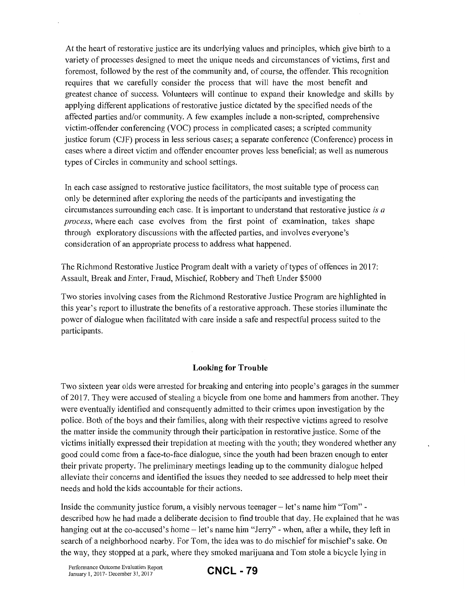At the heart of restorative justice are its underlying values and principles, which give birth to a variety of processes designed to meet the unique needs and circumstances of victims, first and foremost, followed by the rest of the community and, of course, the offender. This recognition requires that we carefully consider the process that will have the most benefit and greatest chance of success. Volunteers will continue to expand their knowledge and skills by applying different applications of restorative justice dictated by the specified needs of the affected parties and/or community. A few examples include a non-scripted, comprehensive victim-offender conferencing (VOC) process in complicated cases; a scripted community justice forum (CJF) process in less serious cases; a separate conference (Conference) process in cases where a direct victim and offender encounter proves less beneficial; as well as numerous types of Circles in community and school settings.

In each case assigned to restorative justice facilitators, the most suitable type of process can only be determined after exploring the needs of the participants and investigating the circumstances surrounding each case. It is important to understand that restorative justice *is a process,* where each case evolves from the first point of examination, takes shape through exploratory discussions with the affected parties, and involves everyone's consideration of an appropriate process to address what happened.

The Richmond Restorative Justice Program dealt with a variety of types of offences in 2017: Assault, Break and Enter, Fraud, Mischief, Robbery and Theft Under \$5000

Two stories involving cases from the Richmond Restorative Justice Program are highlighted in this year's report to illustrate the benefits of a restorative approach. These stories illuminate the power of dialogue when facilitated with care inside a safe and respectful process suited to the participants.

#### **Looking for Trouble**

Two sixteen year olds were arrested for breaking and entering into people's garages in the summer of 2017. They were accused of stealing a bicycle from one home and hammers from another. They were eventually identified and consequently admitted to their crimes upon investigation by the police. Both of the boys and their families, along with their respective victims agreed to resolve the matter inside the community through their participation in restorative justice. Some of the victims initially expressed their trepidation at meeting with the youth; they wondered whether any good could come from a face-to-face dialogue, since the youth had been brazen enough to enter their private property. The preliminary meetings leading up to the community dialogue helped alleviate their concerns and identified the issues they needed to see addressed to help meet their needs and hold the kids accountable for their actions.

Inside the community justice forum, a visibly nervous teenager  $-$  let's name him "Tom" $$ described how he had made a deliberate decision to find trouble that day. He explained that he was hanging out at the co-accused's home – let's name him "Jerry" - when, after a while, they left in search of a neighborhood nearby. For Tom, the idea was to do mischief for mischief's sake. On the way, they stopped at a park, where they smoked marijuana and Tom stole a bicycle lying in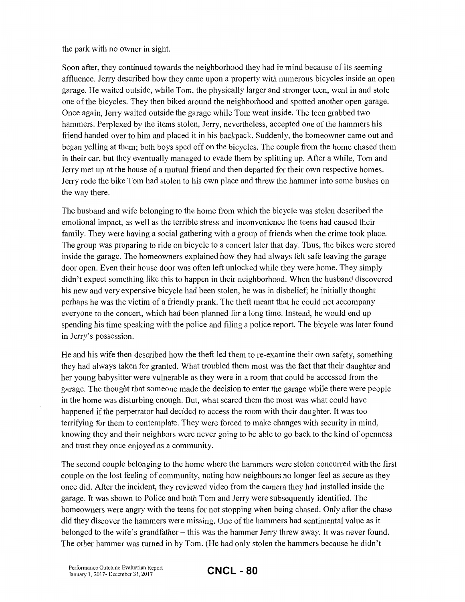the park with no owner in sight.

Soon after, they continued towards the neighborhood they had in mind because of its seeming affluence. Jerry described how they came upon a property with numerous bicycles inside an open garage. He waited outside, while Tom, the physically larger and stronger teen, went in and stole one of the bicycles. They then biked around the neighborhood and spotted another open garage. Once again, Jerry waited outside the garage while Tom went inside. The teen grabbed two hammers. Perplexed by the items stolen, Jerry, nevertheless, accepted one of the hammers his friend handed over to him and placed it in his backpack. Suddenly, the homeowner came out and began yelling at them; both boys sped off on the bicycles. The couple from the home chased them in their car, but they eventually managed to evade them by splitting up. After a while, Tom and Jerry met up at the house of a mutual friend and then departed for their own respective homes. Jerry rode the bike Tom had stolen to his own place and threw the hammer into some bushes on the way there.

The husband and wife belonging to the home from which the bicycle was stolen described the emotional impact, as well as the terrible stress and inconvenience the teens had caused their family. They were having a social gathering with a group of friends when the crime took place. The group was preparing to ride on bicycle to a concert later that day. Thus, the bikes were stored inside the garage. The homeowners explained how they had always felt safe leaving the garage door open. Even their house door was often left unlocked while they were home. They simply didn't expect something like this to happen in their neighborhood. When the husband discovered his new and very expensive bicycle had been stolen, he was in disbelief; he initially thought perhaps he was the victim of a friendly prank. The theft meant that he could not accompany everyone to the concert, which had been planned for a long time. Instead, he would end up spending his time speaking with the police and filing a police report. The bicycle was later found in Jerry's possession.

He and his wife then described how the theft led them to re-examine their own safety, something they had always taken for granted. What troubled them most was the fact that their daughter and her young babysitter were vulnerable as they were in a room that could be accessed from the garage. The thought that someone made the decision to enter the garage while there were people in the home was disturbing enough. But, what scared them the most was what could have happened if the perpetrator had decided to access the room with their daughter. It was too terrifying for them to contemplate. They were forced to make changes with security in mind, knowing they and their neighbors were never going to be able to go back to the kind of openness and trust they once enjoyed as a community.

The second couple belonging to the home where the hammers were stolen concurred with the first couple on the lost feeling of community, noting how neighbours no longer feel as secure as they once did. After the incident, they reviewed video from the camera they had installed inside the garage. It was shown to Police and both Tom and Jerry were subsequently identified. The homeowners were angry with the teens for not stopping when being chased. Only after the chase did they discover the hammers were missing. One of the hammers had sentimental value as it belonged to the wife's grandfather-this was the hammer Jerry threw away. It was never found. The other hammer was turned in by Tom. (He had only stolen the hammers because he didn't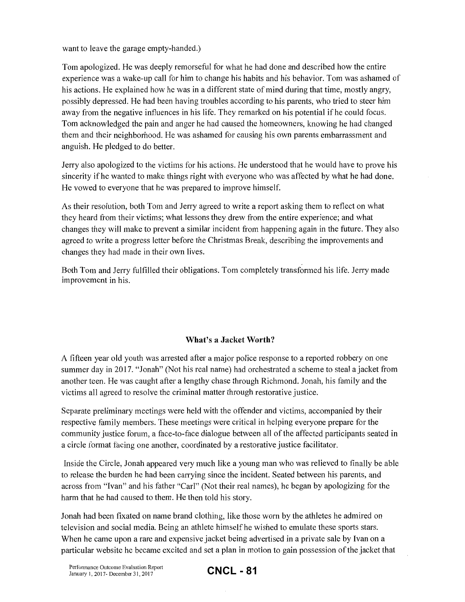want to leave the garage empty-handed.)

Tom apologized. He was deeply remorseful for what he had done and described how the entire experience was a wake-up call for him to change his habits and his behavior. Tom was ashamed of his actions. He explained how he was in a different state of mind during that time, mostly angry, possibly depressed. He had been having troubles according to his parents, who tried to steer him away from the negative influences in his life. They remarked on his potential if he could focus. Tom acknowledged the pain and anger he had caused the homeowners, knowing he had changed them and their neighborhood. He was ashamed for causing his own parents embarrassment and anguish. He pledged to do better.

Jerry also apologized to the victims for his actions. He understood that he would have to prove his sincerity if he wanted to make things right with everyone who was affected by what he had done. He vowed to everyone that he was prepared to improve himself.

As their resolution, both Tom and Jerry agreed to write a report asking them to reflect on what they heard from their victims; what lessons they drew from the entire experience; and what changes they will make to prevent a similar incident from happening again in the future. They also agreed to write a progress letter before the Christmas Break, describing the improvements and changes they had made in their own lives.

Both Tom and Jerry fulfilled their obligations. Tom completely transformed his life. Jerry made improvement in his.

#### **What's a Jacket Worth?**

A fifteen year old youth was arrested after a major police response to a reported robbery on one summer day in 2017. "Jonah" (Not his real name) had orchestrated a scheme to steal a jacket from another teen. He was caught after a lengthy chase through Richmond. Jonah, his family and the victims all agreed to resolve the criminal matter through restorative justice.

Separate preliminary meetings were held with the offender and victims, accompanied by their respective family members. These meetings were critical in helping everyone prepare for the community justice forum, a face-to-face dialogue between all of the affected participants seated in a circle format facing one another, coordinated by a restorative justice facilitator.

Inside the Circle, Jonah appeared very much like a young man who was relieved to finally be able to release the burden he had been carrying since the incident. Seated between his parents, and across from "Ivan" and his father "Carl" (Not their real names), he began by apologizing for the harm that he had caused to them. He then told his story.

Jonah had been fixated on name brand clothing, like those worn by the athletes he admired on television and social media. Being an athlete himself he wished to emulate these sports stars. When he came upon a rare and expensive jacket being advertised in a private sale by Ivan on a particular website he became excited and set a plan in motion to gain possession of the jacket that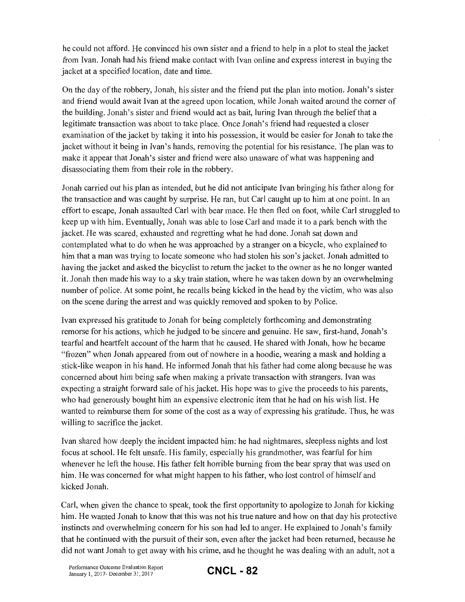he could not afford. He convinced his own sister and a friend to help in a plot to steal the jacket from Ivan. Jonah had his friend make contact with Ivan online and express interest in buying the jacket at a specified location, date and time.

On the day of the robbery, Jonah, his sister and the friend put the plan into motion. Jonah's sister and friend would await Ivan at the agreed upon location, while Jonah waited around the corner of the building. Jonah's sister and friend would act as bait, luring Ivan through the beliefthat a legitimate transaction was about to take place. Once Jonah's friend had requested a closer examination of the jacket by taking it into his possession, it would be easier for Jonah to take the jacket without it being in Ivan's hands, removing the potential for his resistance. The plan was to make it appear that Jonah's sister and friend were also unaware of what was happening and disassociating them from their role in the robbery.

Jonah carried out his plan as intended, but he did not anticipate Ivan bringing his father along for the transaction and was caught by surprise. He ran, but Carl caught up to him at one point. In an effort to escape, Jonah assaulted Carl with bear mace. He then fled on foot, while Carl struggled to keep up with him. Eventually, Jonah was able to lose Carl and made it to a park bench with the jacket. He was scared, exhausted and regretting what he had done. Jonah sat down and contemplated what to do when he was approached by a stranger on a bicycle, who explained to him that a man was trying to locate someone who had stolen his son's jacket. Jonah admitted to . having the jacket and asked the bicyclist to return the jacket to the owner as he no longer wanted it. Jonah then made his way to a sky train station, where he was taken down by an overwhelming number of police. At some point, he recalls being kicked in the head by the victim, who was also on the scene during the arrest and was quickly removed and spoken to by Police.

Ivan expressed his gratitude to Jonah for being completely forthcoming and demonstrating remorse for his actions, which he judged to be sincere and genuine. He saw, first-hand, Jonah's tearful and heartfelt account of the harm that he caused. He shared with Jonah, how he became "frozen" when Jonah appeared from out of nowhere in a hoodie, wearing a mask and holding a stick-like weapon in his hand. He informed Jonah that his father had come along because he was concerned about him being safe when making a private transaction with strangers. Ivan was expecting a straight forward sale of his jacket. His hope was to give the proceeds to his parents, who had generously bought him an expensive electronic item that he had on his wish list. He wanted to reimburse them for some of the cost as a way of expressing his gratitude. Thus, he was willing to sacrifice the jacket.

Ivan shared how deeply the incident impacted him: he had nightmares, sleepless nights and lost focus at school. He felt unsafe. His family, especially his grandmother, was fearful for him whenever he left the house. His father felt horrible burning from the bear spray that was used on him. He was concerned for what might happen to his father, who lost control of himself and kicked Jonah.

Carl, when given the chance to speak, took the first opportunity to apologize to Jonah for kicking him. He wanted Jonah to know that this was not his true nature and how on that day his protective instincts and overwhelming concern for his son had led to anger. He explained to Jonah's family that he continued with the pursuit of their son, even after the jacket had been returned, because he did not want Jonah to get away with his crime, and he thought he was dealing with an adult, not a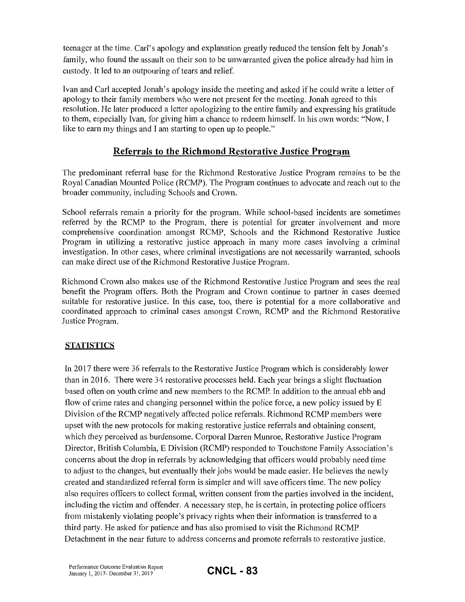teenager at the time. Carl's apology and explanation greatly reduced the tension felt by Jonah's family, who found the assault on their son to be unwarranted given the police already had him in custody. It led to an outpouring of tears and relief.

Ivan and Carl accepted Jonah's apology inside the meeting and asked if he could write a letter of apology to their family members who were not present for the meeting. Jonah agreed to this resolution. He later produced a letter apologizing to the entire family and expressing his gratitude to them, especially Ivan, for giving him a chance to redeem himself. In his own words: "Now, I like to earn my things and I am starting to open up to people."

#### **Referrals to the Richmond Restorative Justice Program**

The predominant referral base for the Richmond Restorative Justice Program remains to be the Royal Canadian Mounted Police (RCMP). The Program continues to advocate and reach out to the broader community, including Schools and Crown.

School referrals remain a priority for the program. While school-based incidents are sometimes referred by the RCMP to the Program, there is potential for greater involvement and more comprehensive coordination amongst RCMP, Schools and the Richmond Restorative Justice Program in utilizing a restorative justice approach in many more cases involving a criminal investigation. In other cases, where criminal investigations are not necessarily warranted, schools can make direct use of the Richmond Restorative Justice Program.

Richmond Crown also makes use of the Richmond Restorative Justice Program and sees the real benefit the Program offers. Both the Program and Crown continue to partner in cases deemed suitable for restorative justice. In this case, too, there is potential for a more collaborative and coordinated approach to criminal cases amongst Crown, RCMP and the Richmond Restorative Justice Program.

#### **STATISTICS**

In 2017 there were 36 referrals to the Restorative Justice Program which is considerably lower than in 2016. There were 34 restorative processes held. Each year brings a slight fluctuation based often on youth crime and new members to the RCMP. In addition to the annual ebb and flow of crime rates and changing personnel within the police force, a new policy issued by E Division of the RCMP negatively affected police referrals. Richmond RCMP members were upset with the new protocols for making restorative justice referrals and obtaining consent, which they perceived as burdensome. Corporal Darren Munroe, Restorative Justice Program Director, British Columbia, E Division (RCMP) responded to Touchstone Family Association's concerns about the drop in referrals by acknowledging that officers would probably need time to adjust to the changes, but eventually their jobs would be made easier. He believes the newly created and standardized referral form is simpler and will save officers time. The new policy also requires officers to collect formal, written consent from the parties involved in the incident, including the victim and offender. A necessary step, he is certain, in protecting police officers from mistakenly violating people's privacy rights when their information is transferred to a third party. He asked for patience and has also promised to visit the Richmond RCMP Detachment in the near future to address concerns and promote referrals to restorative justice.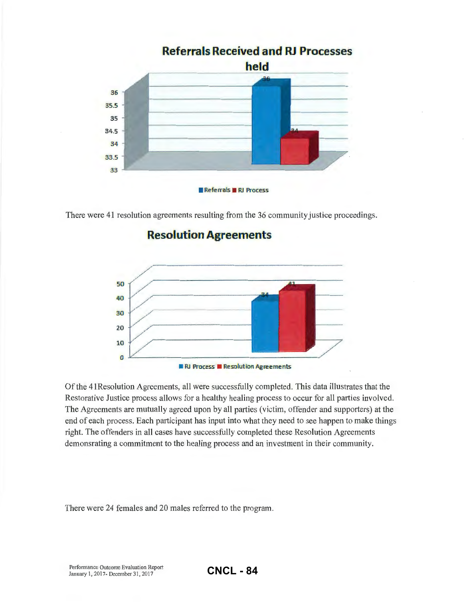

There were 41 resolution agreements resulting from the 36 community justice proceedings.

## **Resolution Agreements**



Of the 41Resolution Agreements, all were successfully completed. This data illustrates that the Restorative Justice process allows for a healthy healing process to occur for all parties involved. The Agreements are mutually agreed upon by all parties (victim, offender and supporters) at the end of each process. Each participant has input into what they need to see happen to make things right. The offenders in all cases have successfully completed these Resolution Agreements demonsrating a commitment to the healing process and an investment in their community.

There were 24 females and 20 males referred to the program.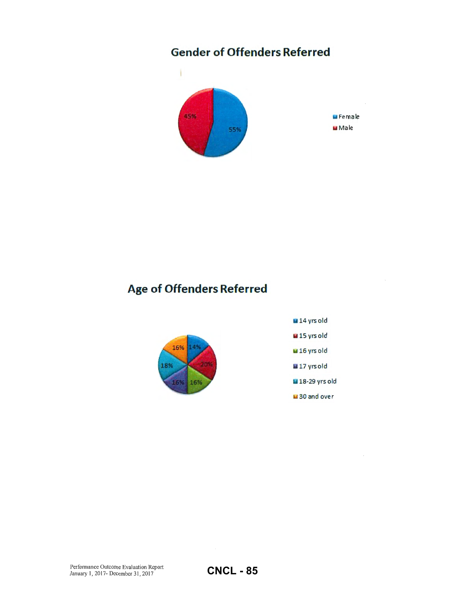# **Gender of Offenders Referred**



# **Age of Offenders Referred**



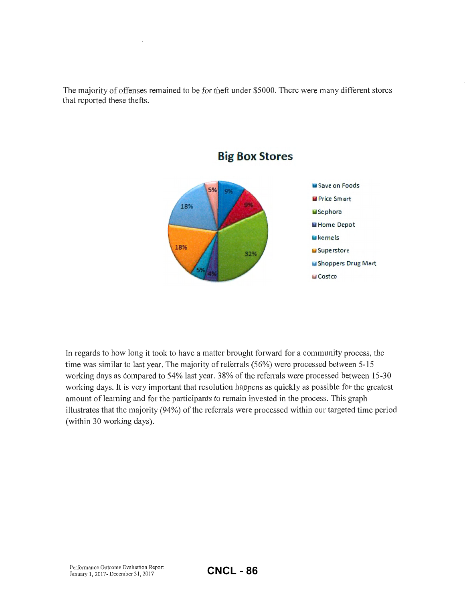The majority of offenses remained to be for theft under \$5000. There were many different stores that reported these thefts.





In regards to how long it took to have a matter brought forward for a community process, the time was similar to last year. The majority of referrals (56%) were processed between 5-15 working days as compared to 54% last year. 38% of the referrals were processed between 15-30 working days. It is very important that resolution happens as quickly as possible for the greatest amount of learning and for the participants to remain invested in the process. This graph illustrates that the majority (94%) of the referrals were processed within our targeted time period (within 30 working days).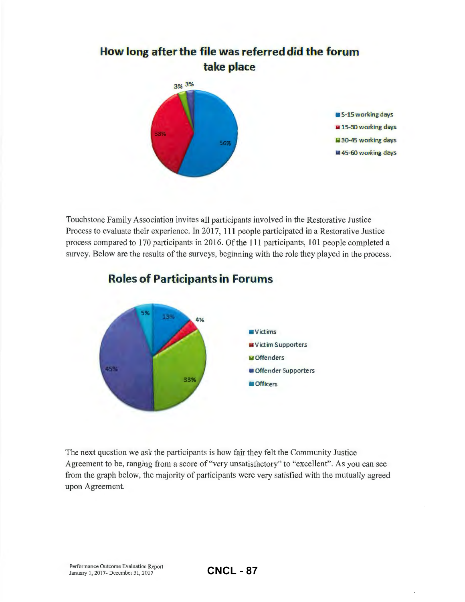

Touchstone Family Association invites all participants involved in the Restorative Justice Process to evaluate their experience. In 2017, Ill people participated in a Restorative Justice process compared to 170 participants in 2016. Of the Ill participants, 101 people completed a survey. Below are the results of the surveys, beginning with the role they played in the process.



## **Roles of Participants in Forums**

The next question we ask the participants is how fair they felt the Community Justice Agreement to be, ranging from a score of"very unsatisfactory" to "excellent". As you can see from the graph below, the majority of participants were very satisfied with the mutually agreed upon Agreement.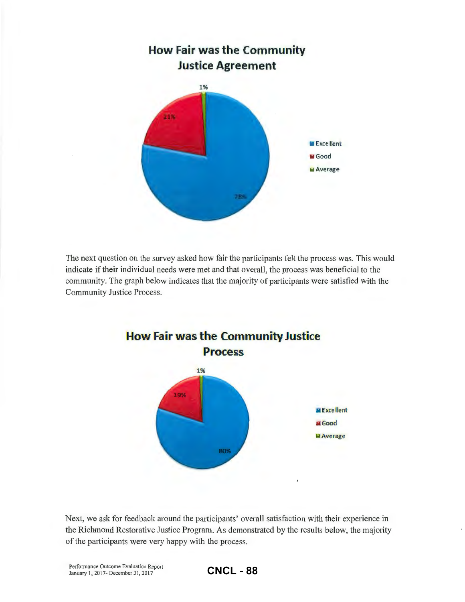

The next question on the survey asked how fair the participants felt the process was. This would indicate if their individual needs were met and that overall, the process was beneficial to the community. The graph below indicates that the majority of participants were satisfied with the Community Justice Process.



Next, we ask for feedback around the participants' overall satisfaction with their experience in the Richmond Restorative Justice Program. As demonstrated by the results below, the majority of the participants were very happy with the process.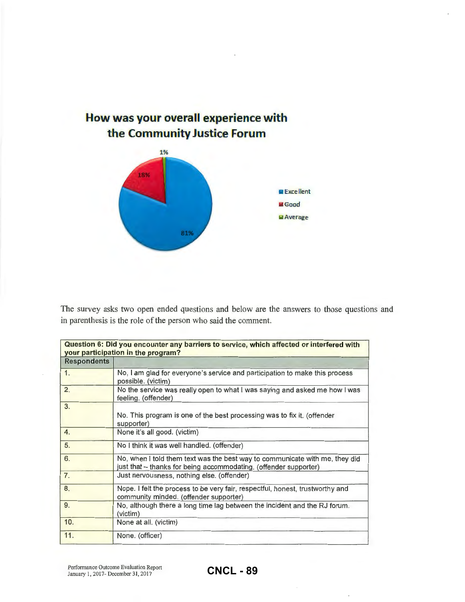

The survey asks two open ended questions and below are the answers to those questions and in parenthesis is the role of the person who said the comment.

|                    | Question 6: Did you encounter any barriers to service, which affected or interfered with<br>your participation in the program?                  |
|--------------------|-------------------------------------------------------------------------------------------------------------------------------------------------|
| <b>Respondents</b> |                                                                                                                                                 |
| 1.                 | No, I am glad for everyone's service and participation to make this process<br>possible. (victim)                                               |
| 2.                 | No the service was really open to what I was saying and asked me how I was<br>feeling. (offender)                                               |
| 3.                 | No. This program is one of the best processing was to fix it. (offender<br>supporter)                                                           |
| 4.                 | None it's all good. (victim)                                                                                                                    |
| 5.                 | No I think it was well handled. (offender)                                                                                                      |
| 6.                 | No, when I told them text was the best way to communicate with me, they did<br>just that – thanks for being accommodating. (offender supporter) |
| 7.                 | Just nervousness, nothing else. (offender)                                                                                                      |
| 8.                 | Nope. I felt the process to be very fair, respectful, honest, trustworthy and<br>community minded. (offender supporter)                         |
| 9.                 | No, although there a long time lag between the incident and the RJ forum.<br>(victim)                                                           |
| 10.                | None at all. (victim)                                                                                                                           |
| 11.                | None. (officer)                                                                                                                                 |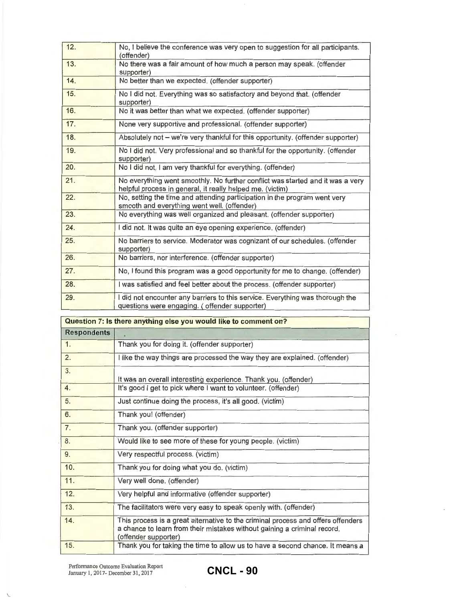| 12. | No, I believe the conference was very open to suggestion for all participants.<br>(offender)                                                |
|-----|---------------------------------------------------------------------------------------------------------------------------------------------|
| 13. | No there was a fair amount of how much a person may speak. (offender<br>supporter)                                                          |
| 14. | No better than we expected. (offender supporter)                                                                                            |
| 15. | No I did not. Everything was so satisfactory and beyond that. (offender<br>supporter)                                                       |
| 16. | No it was better than what we expected. (offender supporter)                                                                                |
| 17. | None very supportive and professional. (offender supporter)                                                                                 |
| 18. | Absolutely not - we're very thankful for this opportunity. (offender supporter)                                                             |
| 19. | No I did not. Very professional and so thankful for the opportunity. (offender<br>supporter)                                                |
| 20. | No I did not, I am very thankful for everything. (offender)                                                                                 |
| 21. | No everything went smoothly. No further conflict was started and it was a very<br>helpful process in general, it really helped me. (victim) |
| 22. | No, setting the time and attending participation in the program went very<br>smooth and everything went well. (offender)                    |
| 23. | No everything was well organized and pleasant. (offender supporter)                                                                         |
| 24. | I did not. It was quite an eye opening experience. (offender)                                                                               |
| 25. | No barriers to service. Moderator was cognizant of our schedules. (offender<br>supporter)                                                   |
| 26. | No barriers, nor interference. (offender supporter)                                                                                         |
| 27. | No, I found this program was a good opportunity for me to change. (offender)                                                                |
| 28. | I was satisfied and feel better about the process. (offender supporter)                                                                     |
| 29. | I did not encounter any barriers to this service. Everything was thorough the<br>questions were engaging. (offender supporter)              |

|                    | Question 7: Is there anything else you would like to comment on?                                                                                                                     |
|--------------------|--------------------------------------------------------------------------------------------------------------------------------------------------------------------------------------|
| <b>Respondents</b> |                                                                                                                                                                                      |
| 1.                 | Thank you for doing it. (offender supporter)                                                                                                                                         |
| 2.                 | I like the way things are processed the way they are explained. (offender)                                                                                                           |
| 3.                 | It was an overall interesting experience. Thank you. (offender)                                                                                                                      |
| 4.                 | It's good I get to pick where I want to volunteer. (offender)                                                                                                                        |
| 5.                 | Just continue doing the process, it's all good. (victim)                                                                                                                             |
| 6.                 | Thank you! (offender)                                                                                                                                                                |
| 7.                 | Thank you. (offender supporter)                                                                                                                                                      |
| 8.                 | Would like to see more of these for young people. (victim)                                                                                                                           |
| 9.                 | Very respectful process. (victim)                                                                                                                                                    |
| 10.                | Thank you for doing what you do. (victim)                                                                                                                                            |
| 11.                | Very well done. (offender)                                                                                                                                                           |
| 12.                | Very helpful and informative (offender supporter)                                                                                                                                    |
| 13.                | The facilitators were very easy to speak openly with. (offender)                                                                                                                     |
| 14.                | This process is a great alternative to the criminal process and offers offenders<br>a chance to learn from their mistakes without gaining a criminal record.<br>(offender supporter) |
| 15.                | Thank you for taking the time to allow us to have a second chance. It means a                                                                                                        |

 $\overline{\phantom{a}}$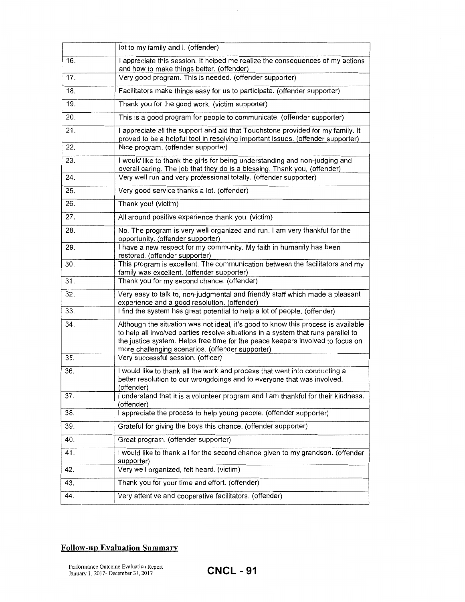|     | lot to my family and I. (offender)                                                                                                                                                                                                                                                                           |
|-----|--------------------------------------------------------------------------------------------------------------------------------------------------------------------------------------------------------------------------------------------------------------------------------------------------------------|
| 16. | I appreciate this session. It helped me realize the consequences of my actions<br>and how to make things better. (offender)                                                                                                                                                                                  |
| 17. | Very good program. This is needed. (offender supporter)                                                                                                                                                                                                                                                      |
| 18. | Facilitators make things easy for us to participate. (offender supporter)                                                                                                                                                                                                                                    |
| 19. | Thank you for the good work. (victim supporter)                                                                                                                                                                                                                                                              |
| 20. | This is a good program for people to communicate. (offender supporter)                                                                                                                                                                                                                                       |
| 21. | I appreciate all the support and aid that Touchstone provided for my family. It<br>proved to be a helpful tool in resolving important issues. (offender supporter)                                                                                                                                           |
| 22. | Nice program. (offender supporter)                                                                                                                                                                                                                                                                           |
| 23. | I would like to thank the girls for being understanding and non-judging and<br>overall caring. The job that they do is a blessing. Thank you, (offender)                                                                                                                                                     |
| 24. | Very well run and very professional totally. (offender supporter)                                                                                                                                                                                                                                            |
| 25. | Very good service thanks a lot. (offender)                                                                                                                                                                                                                                                                   |
| 26. | Thank you! (victim)                                                                                                                                                                                                                                                                                          |
| 27. | All around positive experience thank you. (victim)                                                                                                                                                                                                                                                           |
| 28. | No. The program is very well organized and run. I am very thankful for the<br>opportunity. (offender supporter)                                                                                                                                                                                              |
| 29. | I have a new respect for my community. My faith in humanity has been<br>restored. (offender supporter)                                                                                                                                                                                                       |
| 30. | This program is excellent. The communication between the facilitators and my<br>family was excellent. (offender supporter)                                                                                                                                                                                   |
| 31. | Thank you for my second chance. (offender)                                                                                                                                                                                                                                                                   |
| 32. | Very easy to talk to, non-judgmental and friendly staff which made a pleasant<br>experience and a good resolution. (offender)                                                                                                                                                                                |
| 33. | I find the system has great potential to help a lot of people. (offender)                                                                                                                                                                                                                                    |
| 34. | Although the situation was not ideal, it's good to know this process is available<br>to help all involved parties resolve situations in a system that runs parallel to<br>the justice system. Helps free time for the peace keepers involved to focus on<br>more challenging scenarios. (offender supporter) |
| 35. | Very successful session. (officer)                                                                                                                                                                                                                                                                           |
| 36. | I would like to thank all the work and process that went into conducting a<br>better resolution to our wrongdoings and to everyone that was involved.<br>(offender)                                                                                                                                          |
| 37. | I understand that it is a volunteer program and I am thankful for their kindness.<br>(offender)                                                                                                                                                                                                              |
| 38. | I appreciate the process to help young people. (offender supporter)                                                                                                                                                                                                                                          |
| 39. | Grateful for giving the boys this chance. (offender supporter)                                                                                                                                                                                                                                               |
| 40. | Great program. (offender supporter)                                                                                                                                                                                                                                                                          |
| 41. | I would like to thank all for the second chance given to my grandson. (offender<br>supporter)                                                                                                                                                                                                                |
| 42. | Very well organized, felt heard. (victim)                                                                                                                                                                                                                                                                    |
| 43. | Thank you for your time and effort. (offender)                                                                                                                                                                                                                                                               |
| 44. | Very attentive and cooperative facilitators. (offender)                                                                                                                                                                                                                                                      |

 $\bar{z}$ 

#### **Follow-up Evaluation Summary**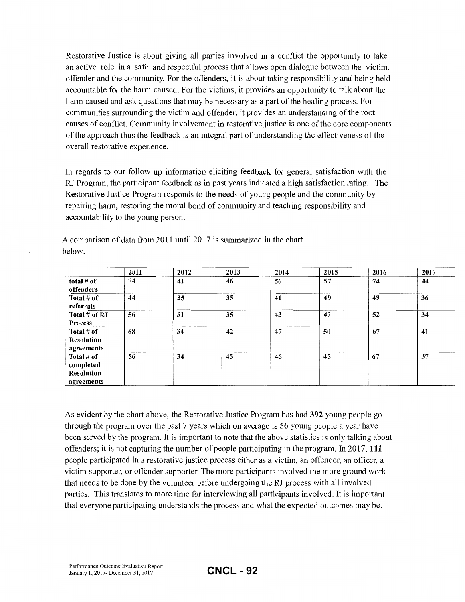Restorative Justice is about giving all parties involved in a conflict the opportunity to take an active role in a safe and respectful process that allows open dialogue between the victim, offender and the community. For the offenders, it is about taking responsibility and being held accountable for the harm caused. For the victims, it provides an opportunity to talk about the harm caused and ask questions that may be necessary as a part of the healing process. For communities surrounding the victim and offender, it provides an understanding of the root causes of conflict. Community involvement in restorative justice is one of the core components of the approach thus the feedback is an integral part of understanding the effectiveness of the overall restorative experience.

In regards to our follow up information eliciting feedback for general satisfaction with the RJ Program, the participant feedback as in past years indicated a high satisfaction rating. The Restorative Justice Program responds to the needs of young people and the community by repairing harm, restoring the moral bond of community and teaching responsibility and accountability to the young person.

|                                                            | 2011 | 2012 | 2013 | 2014 | 2015 | 2016 | 2017 |
|------------------------------------------------------------|------|------|------|------|------|------|------|
| total $#$ of<br>offenders                                  | 74   | 41   | 46   | 56   | 57   | 74   | 44   |
| Total # of<br>referrals                                    | 44   | 35   | 35   | 41   | 49   | 49   | 36   |
| Total # of RJ<br><b>Process</b>                            | 56   | 31   | 35   | 43   | 47   | 52   | 34   |
| Total # of<br>Resolution<br>agreements                     | 68   | 34   | 42   | 47   | 50   | 67   | 41   |
| Total # of<br>completed<br><b>Resolution</b><br>agreements | 56   | 34   | 45   | 46   | 45   | 67   | 37   |

A comparison of data from 2011 until 2017 is summarized in the chart below.

As evident by the chart above, the Restorative Justice Program has had 392 young people go through the program over the past 7 years which on average is 56 young people a year have been served by the program. It is important to note that the above statistics is only talking about offenders; it is not capturing the number of people participating in the program. In 2017, 111 people participated in a restorative justice process either as a victim, an offender, an officer, a victim supporter, or offender supporter. The more participants involved the more ground work that needs to be done by the volunteer before undergoing the RJ process with all involved patiies. This translates to more time for interviewing all participants involved. It is impotiant that everyone participating understands the process and what the expected outcomes may be.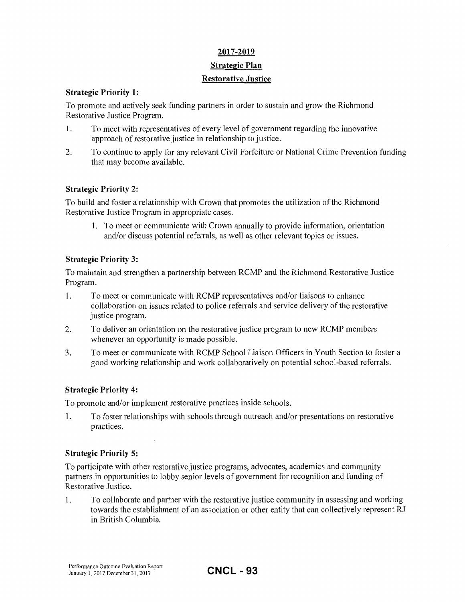#### **2017-2019**

#### **Strategic Plan**

#### **Restorative Justice**

#### **Strategic Priority 1:**

To promote and actively seek funding partners in order to sustain and grow the Richmond Restorative Justice Program.

- 1. To meet with representatives of every level of government regarding the innovative approach of restorative justice in relationship to justice.
- 2. To continue to apply for any relevant Civil Forfeiture or National Crime Prevention funding that may become available.

#### **Strategic Priority 2:**

To build and foster a relationship with Crown that promotes the utilization of the Richmond Restorative Justice Program in appropriate cases.

1. To meet or communicate with Crown annually to provide information, orientation and/or discuss potential referrals, as well as other relevant topics or issues.

#### **Strategic Priority 3:**

To maintain and strengthen a partnership between RCMP and the Richmond Restorative Justice Program.

- 1. To meet or communicate with RCMP representatives and/or liaisons to enhance collaboration on issues related to police referrals and service delivery of the restorative justice program.
- 2. To deliver an orientation on the restorative justice program to new RCMP members whenever an opportunity is made possible.
- 3. To meet or communicate with RCMP School Liaison Officers in Youth Section to foster a good working relationship and work collaboratively on potential school-based referrals.

#### **Strategic Priority 4:**

To promote and/or implement restorative practices inside schools.

1. To foster relationships with schools through outreach and/or presentations on restorative practices.

#### **Strategic Priority 5:**

To participate with other restorative justice programs, advocates, academics and community partners in opportunities to lobby senior levels of government for recognition and funding of Restorative Justice.

1. To collaborate and partner with the restorative justice community in assessing and working towards the establishment of an association or other entity that can collectively represent RJ in British Columbia.